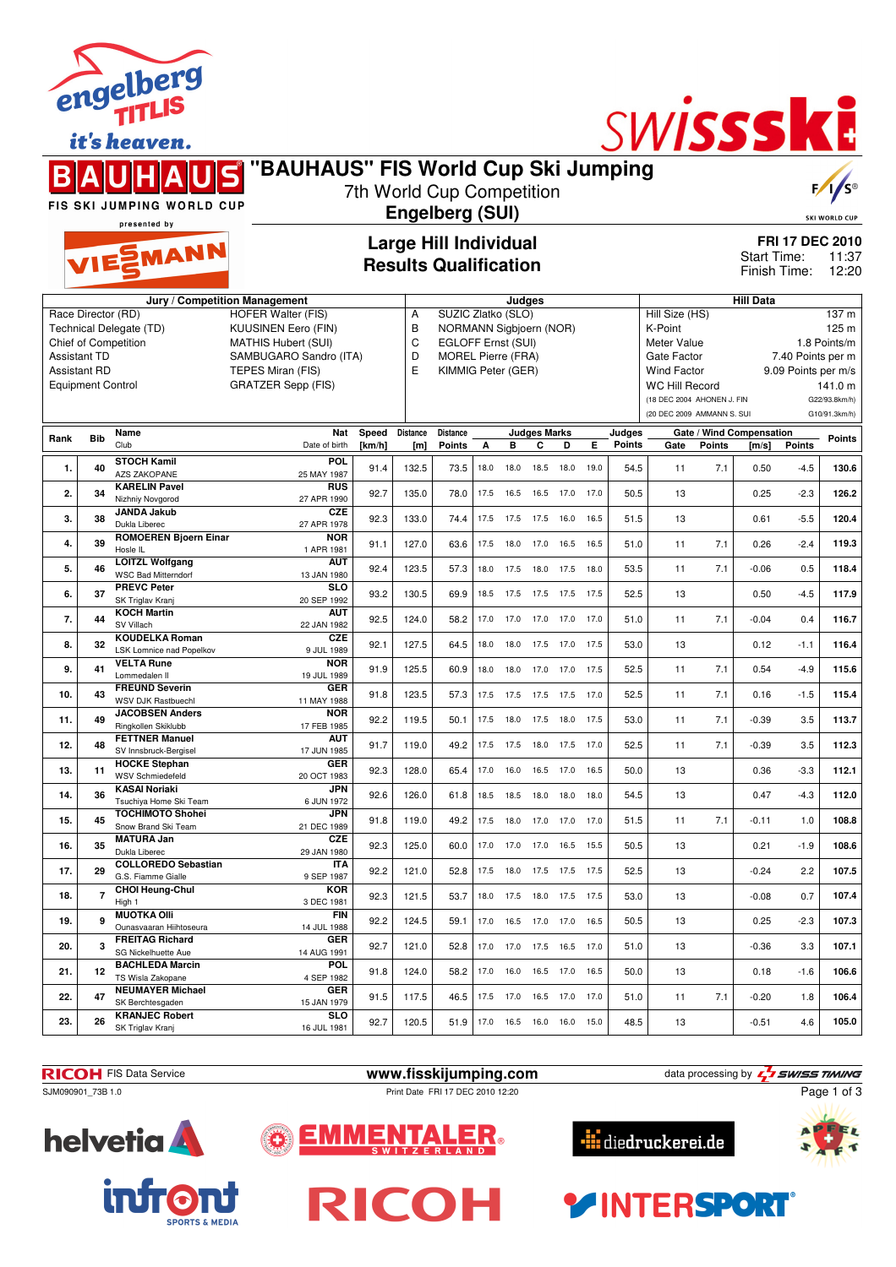|                                                                 |                    | engen<br><b>TITLIS</b><br>it's heaven.                                 |                                                                                       |                 |                        |                                                                            |              |              |                          |              |              |                         | SWISSSKE                                                   |               |                                                     |                                |                                                      |
|-----------------------------------------------------------------|--------------------|------------------------------------------------------------------------|---------------------------------------------------------------------------------------|-----------------|------------------------|----------------------------------------------------------------------------|--------------|--------------|--------------------------|--------------|--------------|-------------------------|------------------------------------------------------------|---------------|-----------------------------------------------------|--------------------------------|------------------------------------------------------|
|                                                                 |                    |                                                                        | "BAUHAUS" FIS World Cup Ski Jumping                                                   |                 |                        | 7th World Cup Competition                                                  |              |              |                          |              |              |                         |                                                            |               |                                                     |                                |                                                      |
|                                                                 |                    | FIS SKI JUMPING WORLD CUP<br>presented by                              |                                                                                       |                 | <b>Engelberg (SUI)</b> |                                                                            |              |              |                          |              |              |                         |                                                            |               |                                                     | <b>SKI WORLD CUP</b>           |                                                      |
|                                                                 |                    | VIESMANN                                                               |                                                                                       |                 |                        | <b>Large Hill Individual</b><br><b>Results Qualification</b>               |              |              |                          |              |              |                         |                                                            |               | Start Time:<br>Finish Time:                         |                                | <b>FRI 17 DEC 2010</b><br>11:37<br>12:20             |
|                                                                 |                    |                                                                        | Jury / Competition Management                                                         |                 |                        |                                                                            |              | Judges       |                          |              |              |                         |                                                            |               | <b>Hill Data</b>                                    |                                |                                                      |
|                                                                 | Race Director (RD) | <b>Technical Delegate (TD)</b><br>Chief of Competition                 | <b>HOFER Walter (FIS)</b><br><b>KUUSINEN Eero (FIN)</b><br><b>MATHIS Hubert (SUI)</b> |                 | Α<br>B<br>C            | SUZIC Zlatko (SLO)<br>NORMANN Sigbjoern (NOR)<br><b>EGLOFF Ernst (SUI)</b> |              |              |                          |              |              |                         | Hill Size (HS)<br>K-Point<br><b>Meter Value</b>            |               |                                                     |                                | 137 <sub>m</sub><br>125 <sub>m</sub><br>1.8 Points/m |
| <b>Assistant TD</b><br>Assistant RD<br><b>Equipment Control</b> |                    |                                                                        | SAMBUGARO Sandro (ITA)<br>TEPES Miran (FIS)<br><b>GRATZER Sepp (FIS)</b>              |                 | D<br>E                 | <b>MOREL Pierre (FRA)</b><br>KIMMIG Peter (GER)                            |              |              |                          |              |              |                         | Gate Factor<br><b>Wind Factor</b><br><b>WC Hill Record</b> |               | 7.40 Points per m<br>9.09 Points per m/s<br>141.0 m |                                |                                                      |
|                                                                 |                    |                                                                        |                                                                                       |                 |                        |                                                                            |              |              |                          |              |              |                         | (18 DEC 2004 AHONEN J. FIN<br>(20 DEC 2009 AMMANN S. SUI   |               |                                                     | G22/93.8km/h)<br>G10/91.3km/h) |                                                      |
| Rank                                                            | <b>Bib</b>         | Name<br>Club                                                           | <b>Nat</b><br>Date of birth                                                           | Speed<br>[km/h] | <b>Distance</b><br>[m] | <b>Distance</b><br><b>Points</b>                                           | A            | в            | <b>Judges Marks</b><br>С | D            | Е            | Judges<br><b>Points</b> | Gate                                                       | <b>Points</b> | Gate / Wind Compensation<br>[m/s]                   | <b>Points</b>                  | Points                                               |
| 1.                                                              | 40                 | <b>STOCH Kamil</b><br><b>AZS ZAKOPANE</b>                              | <b>POL</b><br>25 MAY 1987                                                             | 91.4            | 132.5                  | 73.5                                                                       | 18.0         | 18.0         | 18.5                     | 18.0         | 19.0         | 54.5                    | 11                                                         | 7.1           | 0.50                                                | $-4.5$                         | 130.6                                                |
| 2.                                                              | 34                 | <b>KARELIN Pavel</b><br>Nizhniy Novgorod                               | <b>RUS</b><br>27 APR 1990                                                             | 92.7            | 135.0                  | 78.0                                                                       | 17.5         | 16.5         | 16.5                     | 17.0         | 17.0         | 50.5                    | 13                                                         |               | 0.25                                                | $-2.3$                         | 126.2                                                |
| 3.                                                              | 38                 | <b>JANDA Jakub</b><br>Dukla Liberec                                    | <b>CZE</b><br>27 APR 1978                                                             | 92.3            | 133.0                  | 74.4                                                                       | 17.5         | 17.5         | 17.5                     | 16.0         | 16.5         | 51.5                    | 13                                                         |               | 0.61                                                | $-5.5$                         | 120.4                                                |
| 4.                                                              | 39                 | <b>ROMOEREN Bjoern Einar</b><br>Hosle IL<br><b>LOITZL Wolfgang</b>     | <b>NOR</b><br>1 APR 1981<br><b>AUT</b>                                                | 91.1            | 127.0                  | 63.6                                                                       | 17.5         | 18.0         | 17.0                     | 16.5         | 16.5         | 51.0                    | 11                                                         | 7.1           | 0.26                                                | $-2.4$                         | 119.3                                                |
| 5.                                                              | 46                 | <b>WSC Bad Mitterndorf</b><br><b>PREVC Peter</b>                       | 13 JAN 1980<br><b>SLO</b>                                                             | 92.4            | 123.5                  | 57.3                                                                       | 18.0         | 17.5         | 18.0                     | 17.5         | 18.0         | 53.5                    | 11                                                         | 7.1           | $-0.06$                                             | 0.5                            | 118.4                                                |
| 6.<br>7.                                                        | 37<br>44           | SK Triglav Kranj<br><b>KOCH Martin</b>                                 | 20 SEP 1992<br><b>AUT</b>                                                             | 93.2<br>92.5    | 130.5<br>124.0         | 69.9<br>58.2                                                               | 18.5<br>17.0 | 17.5<br>17.0 | 17.5<br>17.0             | 17.5<br>17.0 | 17.5<br>17.0 | 52.5<br>51.0            | 13<br>11                                                   | 7.1           | 0.50<br>$-0.04$                                     | $-4.5$<br>0.4                  | 117.9<br>116.7                                       |
| 8.                                                              | 32                 | SV Villach<br><b>KOUDELKA Roman</b><br><b>LSK Lomnice nad Popelkov</b> | 22 JAN 1982<br><b>CZE</b><br>9 JUL 1989                                               | 92.1            | 127.5                  | 64.5                                                                       | 18.0         | 18.0         | 17.5                     | 17.0         | 17.5         | 53.0                    | 13                                                         |               | 0.12                                                | $-1.1$                         | 116.4                                                |
| 9.                                                              | 41                 | <b>VELTA Rune</b><br>Lommedalen II                                     | <b>NOR</b><br>19 JUL 1989                                                             | 91.9            | 125.5                  | 60.9                                                                       | 18.0         | 18.0         | 17.0                     | 17.0 17.5    |              | 52.5                    | 11                                                         | 7.1           | 0.54                                                | $-4.9$                         | 115.6                                                |
| 10.                                                             | 43                 | <b>FREUND Severin</b><br>WSV DJK Rastbuechl                            | <b>GER</b><br>11 MAY 1988                                                             | 91.8            | 123.5                  | 57.3                                                                       | 17.5         | 17.5         | 17.5                     | 17.5         | 17.0         | 52.5                    | 11                                                         | 7.1           | 0.16                                                | $-1.5$                         | 115.4                                                |
| 11.                                                             | 49                 | <b>JACOBSEN Anders</b><br>Ringkollen Skiklubb                          | <b>NOR</b><br>17 FEB 1985                                                             | 92.2            | 119.5                  | 50.1                                                                       | 17.5         | 18.0         | 17.5                     | 18.0         | 17.5         | 53.0                    | 11                                                         | 7.1           | $-0.39$                                             | 3.5                            | 113.7                                                |
| 12.                                                             | 48                 | <b>FETTNER Manuel</b><br>SV Innsbruck-Bergisel<br><b>HOCKE Stephan</b> | <b>AUT</b><br>17 JUN 1985<br>GER                                                      | 91.7            | 119.0                  | 49.2                                                                       | 17.5         | 17.5         | 18.0                     | 17.5         | 17.0         | 52.5                    | 11                                                         | 7.1           | $-0.39$                                             | 3.5                            | 112.3                                                |
| 13.                                                             | 11                 | WSV Schmiedefeld<br><b>KASAI Noriaki</b>                               | 20 OCT 1983<br>JPN                                                                    | 92.3            | 128.0                  | 65.4                                                                       | 17.0         | 16.0         | 16.5                     | 17.0         | 16.5         | 50.0                    | 13                                                         |               | 0.36                                                | $-3.3$                         | 112.1                                                |
| 14.<br>15.                                                      | 36<br>45           | Tsuchiya Home Ski Team<br><b>TOCHIMOTO Shohei</b>                      | 6 JUN 1972<br><b>JPN</b>                                                              | 92.6<br>91.8    | 126.0<br>119.0         | 61.8<br>49.2                                                               | 18.5<br>17.5 | 18.5<br>18.0 | 18.0<br>17.0             | 18.0<br>17.0 | 18.0<br>17.0 | 54.5<br>51.5            | 13<br>11                                                   | 7.1           | 0.47<br>$-0.11$                                     | $-4.3$<br>1.0                  | 112.0<br>108.8                                       |
| 16.                                                             | 35                 | Snow Brand Ski Team<br><b>MATURA Jan</b><br>Dukla Liberec              | 21 DEC 1989<br><b>CZE</b><br>29 JAN 1980                                              | 92.3            | 125.0                  | 60.0                                                                       | 17.0         | 17.0         | 17.0                     | 16.5         | 15.5         | 50.5                    | 13                                                         |               | 0.21                                                | $-1.9$                         | 108.6                                                |

**RICOH** FIS Data Service **www.fisskijumping.com** data processing by  $\frac{7}{2}$  **swiss TIMING** SJM090901\_73B 1.0 Print Date FRI 17 DEC 2010 12:20

**17. 29 COLLOREDO Sebastian** G.S. Fiamme Gialle

Ounasvaaran Hiihtoseura

**18. 7 CHOI Heung-Chul** High 1

**20. 3 FREITAG Richard** SG Nickelhuette Aue

**21. 12 BACHLEDA Marcin** TS Wisla Zakopane

**22. 47 NEUMAYER Michael** SK Berchtesgaden

**23. 26 KRANJEC Robert** SK Triglav Kranj

**helvetia** 

**19. 9 MUOTKA Olli**

ENTALER.



9 SEP 1987 92.2 121.0 52.8 17.5 18.0 17.5 17.5 17.5 52.5 13 -0.24 2.2 **107.5**

3 DEC 1981 92.3 121.5 53.7 18.0 17.5 18.0 17.5 17.5 53.0 13 -0.08 0.7 **107.4**

14 JUL 1988 92.2 124.5 59.1 17.0 16.5 17.0 17.0 16.5 50.5 13 0.25 -2.3 **107.3**

14 AUG 1991 92.7 121.0 52.8 17.0 17.0 17.5 16.5 17.0 51.0 13 -0.36 3.3 **107.1**

4 SEP 1982 91.8 124.0 58.2 17.0 16.0 16.5 17.0 16.5 50.0 13 0.18 -1.6 **106.6**

15 JAN 1979 91.5 117.5 46.5 17.5 17.0 16.5 17.0 17.0 51.0 11 7.1 -0.20 1.8 **106.4**

16 JUL 1981 92.7 120.5 51.9 17.0 16.5 16.0 16.0 15.0 48.5 13 -0.51 4.6 **105.0**







**ITA**<br>9 SEP 1987

**KOR**

**FIN**

**GER**

**POL**<br>4 SEP 1982

**GER**<br>15. JAN 1979

**SLO**<br>16 JUL 1981

EMME





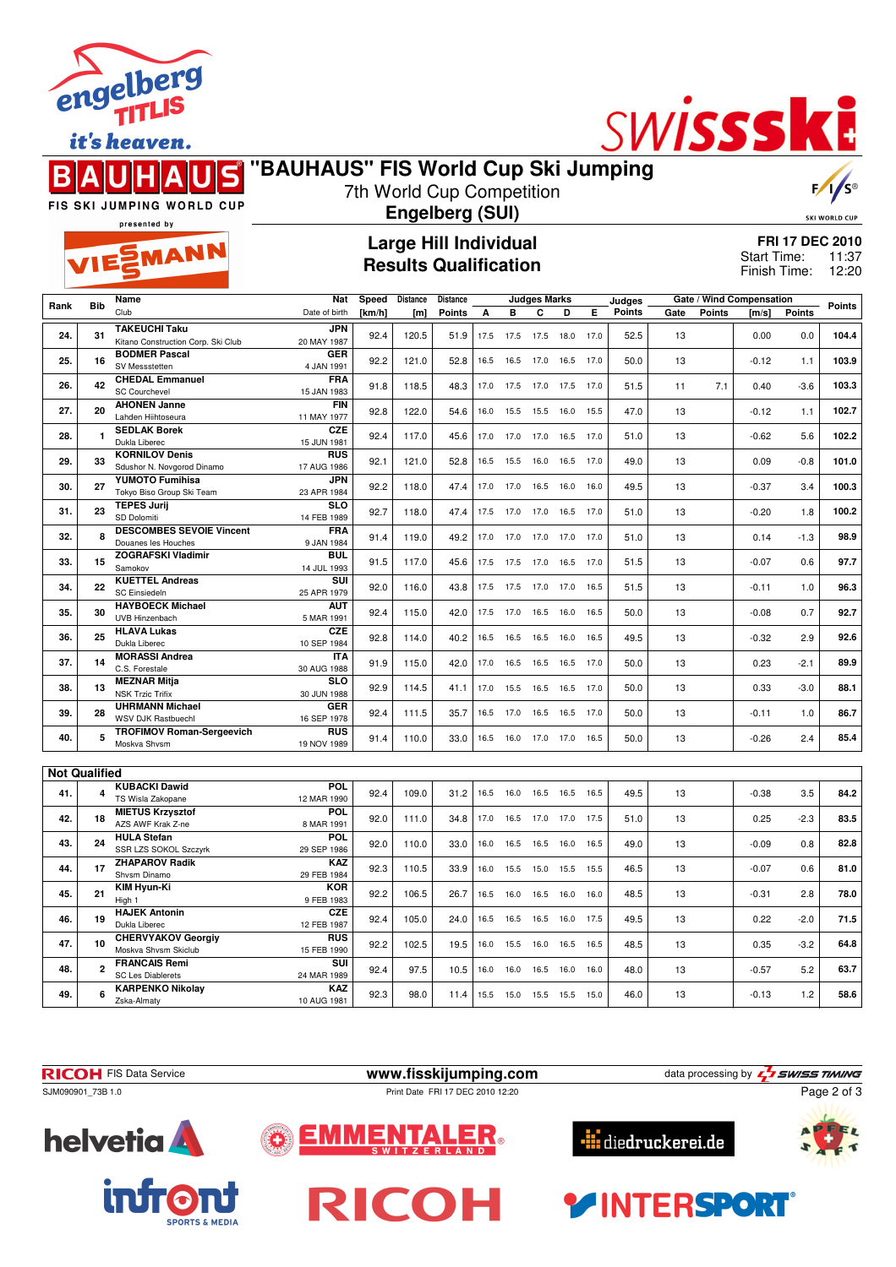

it's heaven.



## **"BAUHAUS" FIS World Cup Ski Jumping**



FIS SKI JUMPING WORLD CUP

#### 7th World Cup Competition **Engelberg (SUI)**

SKI WORLD CUP

presented by

EMANN

### **Large Hill Individual Results Qualification**

**FRI 17 DEC 2010** 11:37 Finish Time: 12:20 Start Time:

|                      |                | Name                                              | Nat                       | Speed  | <b>Distance</b> | <b>Distance</b> | <b>Judges Marks</b> |                              |                |      | Judges |               |      | Gate / Wind Compensation |         |               |               |
|----------------------|----------------|---------------------------------------------------|---------------------------|--------|-----------------|-----------------|---------------------|------------------------------|----------------|------|--------|---------------|------|--------------------------|---------|---------------|---------------|
| Rank                 | <b>Bib</b>     | Club                                              | Date of birth             | [km/h] | [m]             | <b>Points</b>   | А                   | B                            | C              | D    | Е      | <b>Points</b> | Gate | <b>Points</b>            | [m/s]   | <b>Points</b> | <b>Points</b> |
|                      |                | <b>TAKEUCHI Taku</b>                              | <b>JPN</b>                |        |                 |                 |                     |                              |                |      |        |               |      |                          |         |               |               |
| 24.                  | 31             | Kitano Construction Corp. Ski Club                | 20 MAY 1987               | 92.4   | 120.5           | 51.9            | 17.5                | 17.5                         | 17.5           | 18.0 | 17.0   | 52.5          | 13   |                          | 0.00    | 0.0           | 104.4         |
|                      |                | <b>BODMER Pascal</b>                              | <b>GER</b>                |        |                 |                 |                     |                              |                |      |        |               |      |                          |         |               |               |
| 25.                  | 16             | SV Messstetten                                    | 4 JAN 1991                | 92.2   | 121.0           | 52.8            | 16.5                | 16.5                         | 17.0           | 16.5 | 17.0   | 50.0          | 13   |                          | $-0.12$ | 1.1           | 103.9         |
|                      |                | <b>CHEDAL Emmanuel</b>                            |                           |        |                 |                 |                     |                              |                |      |        |               |      |                          |         |               |               |
| 26.                  | 42             | <b>SC Courchevel</b>                              | <b>FRA</b><br>15 JAN 1983 | 91.8   | 118.5           | 48.3            | 17.0                | 17.5                         | 17.0           | 17.5 | 17.0   | 51.5          | 11   | 7.1                      | 0.40    | $-3.6$        | 103.3         |
|                      |                | <b>AHONEN Janne</b>                               | <b>FIN</b>                |        |                 |                 |                     |                              |                |      |        |               |      |                          |         |               |               |
| 27.                  | 20             | Lahden Hiihtoseura                                | 11 MAY 1977               | 92.8   | 122.0           | 54.6            | 16.0                | 15.5                         | 15.5           | 16.0 | 15.5   | 47.0          | 13   |                          | $-0.12$ | 1.1           | 102.7         |
|                      |                | <b>SEDLAK Borek</b>                               | CZE                       |        |                 |                 |                     |                              |                |      |        |               |      |                          |         |               |               |
| 28.                  | 1              | Dukla Liberec                                     | 15 JUN 1981               | 92.4   | 117.0           | 45.6            | 17.0                | 17.0                         | 17.0           | 16.5 | 17.0   | 51.0          | 13   |                          | $-0.62$ | 5.6           | 102.2         |
|                      |                | <b>KORNILOV Denis</b>                             | <b>RUS</b>                |        |                 |                 |                     |                              |                |      |        |               |      |                          |         |               |               |
| 29.                  | 33             | Sdushor N. Novgorod Dinamo                        | 17 AUG 1986               | 92.1   | 121.0           | 52.8            | 16.5                | 15.5                         | 16.0           | 16.5 | 17.0   | 49.0          | 13   |                          | 0.09    | $-0.8$        | 101.0         |
|                      |                | <b>YUMOTO Fumihisa</b>                            | JPN                       |        |                 |                 |                     |                              |                |      |        |               |      |                          |         |               |               |
| 30.                  | 27             | Tokyo Biso Group Ski Team                         | 23 APR 1984               | 92.2   | 118.0           | 47.4            | 17.0                | 17.0                         | 16.5           | 16.0 | 16.0   | 49.5          | 13   |                          | $-0.37$ | 3.4           | 100.3         |
| 31.                  | 23             | <b>TEPES Jurii</b>                                | <b>SLO</b>                | 92.7   | 118.0           | 47.4            | 17.5                | 17.0                         | 17.0           | 16.5 | 17.0   | 51.0          | 13   |                          | $-0.20$ | 1.8           | 100.2         |
|                      |                | SD Dolomiti                                       | 14 FEB 1989               |        |                 |                 |                     |                              |                |      |        |               |      |                          |         |               |               |
| 32.                  | 8              | <b>DESCOMBES SEVOIE Vincent</b>                   | FRA                       | 91.4   | 119.0           | 49.2            | 17.0                | 17.0                         | 17.0 17.0 17.0 |      |        | 51.0          | 13   |                          | 0.14    | $-1.3$        | 98.9          |
|                      |                | Douanes les Houches                               | 9 JAN 1984                |        |                 |                 |                     |                              |                |      |        |               |      |                          |         |               |               |
| 33.                  | 15             | <b>ZOGRAFSKI Vladimir</b>                         | <b>BUL</b>                | 91.5   | 117.0           | 45.6            | 17.5                | 17.5                         | 17.0           | 16.5 | 17.0   | 51.5          | 13   |                          | $-0.07$ | 0.6           | 97.7          |
|                      |                | Samokov                                           | 14 JUL 1993               |        |                 |                 |                     |                              |                |      |        |               |      |                          |         |               |               |
| 34.                  | 22             | <b>KUETTEL Andreas</b>                            | SUI                       | 92.0   | 116.0           | 43.8            | 17.5                | 17.5                         | 17.0           | 17.0 | 16.5   | 51.5          | 13   |                          | $-0.11$ | 1.0           | 96.3          |
|                      |                | <b>SC Einsiedeln</b>                              | 25 APR 1979               |        |                 |                 |                     |                              |                |      |        |               |      |                          |         |               |               |
| 35.                  | 30             | <b>HAYBOECK Michael</b>                           | <b>AUT</b>                | 92.4   | 115.0           | 42.0            | 17.5                | 17.0                         | 16.5           | 16.0 | 16.5   | 50.0          | 13   |                          | $-0.08$ | 0.7           | 92.7          |
|                      |                | UVB Hinzenbach                                    | 5 MAR 1991                |        |                 |                 |                     |                              |                |      |        |               |      |                          |         |               |               |
| 36.                  | 25             | <b>HLAVA Lukas</b><br>Dukla Liberec               | CZE<br>10 SEP 1984        | 92.8   | 114.0           | 40.2            | 16.5                | 16.5                         | 16.5           | 16.0 | 16.5   | 49.5          | 13   |                          | $-0.32$ | 2.9           | 92.6          |
|                      |                | <b>MORASSI Andrea</b>                             | <b>ITA</b>                |        |                 |                 |                     |                              |                |      |        |               |      |                          |         |               |               |
| 37.                  | 14             | C.S. Forestale                                    | 30 AUG 1988               | 91.9   | 115.0           | 42.0            | 17.0                | 16.5                         | 16.5           | 16.5 | 17.0   | 50.0          | 13   |                          | 0.23    | $-2.1$        | 89.9          |
|                      |                | <b>MEZNAR Mitja</b>                               | SLO                       |        |                 |                 |                     |                              |                |      |        |               |      |                          |         |               |               |
| 38.                  | 13             | <b>NSK Trzic Trifix</b>                           | 30 JUN 1988               | 92.9   | 114.5           | 41.1            | 17.0                | 15.5                         | 16.5           | 16.5 | 17.0   | 50.0          | 13   |                          | 0.33    | $-3.0$        | 88.1          |
|                      |                | <b>UHRMANN Michael</b>                            | <b>GER</b>                |        |                 |                 |                     |                              |                |      |        |               |      |                          |         |               |               |
| 39.                  | 28             | <b>WSV DJK Rastbuechl</b>                         | 16 SEP 1978               | 92.4   | 111.5           | 35.7            | 16.5                | 17.0                         | 16.5           | 16.5 | 17.0   | 50.0          | 13   |                          | $-0.11$ | 1.0           | 86.7          |
|                      |                | <b>TROFIMOV Roman-Sergeevich</b>                  | RUS                       |        |                 |                 |                     |                              |                |      |        |               |      |                          |         |               |               |
| 40.                  | 5              | Moskva Shvsm                                      | 19 NOV 1989               | 91.4   | 110.0           | 33.0            | 16.5                | 16.0                         | 17.0           | 17.0 | 16.5   | 50.0          | 13   |                          | $-0.26$ | 2.4           | 85.4          |
|                      |                |                                                   |                           |        |                 |                 |                     |                              |                |      |        |               |      |                          |         |               |               |
| <b>Not Qualified</b> |                |                                                   |                           |        |                 |                 |                     |                              |                |      |        |               |      |                          |         |               |               |
|                      |                | <b>KUBACKI Dawid</b>                              | POL                       |        |                 |                 |                     |                              |                |      |        |               |      |                          |         |               |               |
| 41.                  | 4              | TS Wisla Zakopane                                 | 12 MAR 1990               | 92.4   | 109.0           | 31.2            | 16.5                | 16.0                         | 16.5           | 16.5 | 16.5   | 49.5          | 13   |                          | $-0.38$ | 3.5           | 84.2          |
| 42.                  | 18             | <b>MIETUS Krzysztof</b>                           | <b>POL</b>                | 92.0   | 111.0           | 34.8            | 17.0                | 16.5                         | 17.0           | 17.0 | 17.5   | 51.0          | 13   |                          | 0.25    | $-2.3$        | 83.5          |
|                      |                | AZS AWF Krak Z-ne                                 | 8 MAR 1991                |        |                 |                 |                     |                              |                |      |        |               |      |                          |         |               |               |
| 43.                  | 24             | <b>HULA Stefan</b>                                | <b>POL</b>                | 92.0   | 110.0           | 33.0            | 16.0                | 16.5                         | 16.5           | 16.0 | 16.5   | 49.0          | 13   |                          | $-0.09$ | 0.8           | 82.8          |
|                      |                | SSR LZS SOKOL Szczyrk                             | 29 SEP 1986               |        |                 |                 |                     |                              |                |      |        |               |      |                          |         |               |               |
| 44.                  | 17             | <b>ZHAPAROV Radik</b>                             | <b>KAZ</b>                | 92.3   | 110.5           | 33.9            | 16.0                | 15.5                         | 15.0           | 15.5 | 15.5   | 46.5          | 13   |                          | $-0.07$ | 0.6           | 81.0          |
|                      |                | Shvsm Dinamo                                      | 29 FEB 1984               |        |                 |                 |                     |                              |                |      |        |               |      |                          |         |               |               |
| 45.                  | 21             | <b>KIM Hyun-Ki</b>                                | <b>KOR</b>                | 92.2   | 106.5           | 26.7            | 16.5                | 16.0                         | 16.5           | 16.0 | 16.0   | 48.5          | 13   |                          | $-0.31$ | 2.8           | 78.0          |
|                      |                | High 1                                            | 9 FEB 1983                |        |                 |                 |                     |                              |                |      |        |               |      |                          |         |               |               |
| 46.                  | 19             | <b>HAJEK Antonin</b>                              | <b>CZE</b>                | 92.4   | 105.0           | 24.0            | 16.5                | 16.5                         | 16.5           | 16.0 | 17.5   | 49.5          | 13   |                          | 0.22    | $-2.0$        | 71.5          |
|                      |                | Dukla Liberec                                     | 12 FEB 1987               |        |                 |                 |                     |                              |                |      |        |               |      |                          |         |               |               |
| 47.                  | 10             | <b>CHERVYAKOV Georgiv</b><br>Moskva Shvsm Skiclub | <b>RUS</b><br>15 FEB 1990 | 92.2   | 102.5           | 19.5            | 16.0                | 15.5                         | 16.0           | 16.5 | 16.5   | 48.5          | 13   |                          | 0.35    | $-3.2$        | 64.8          |
|                      |                | <b>FRANCAIS Remi</b>                              | SUI                       |        |                 |                 |                     |                              |                |      |        |               |      |                          |         |               |               |
| 48.                  | $\overline{2}$ | <b>SC Les Diablerets</b>                          | 24 MAR 1989               | 92.4   | 97.5            | 10.5            | 16.0                | 16.0                         | 16.5           | 16.0 | 16.0   | 48.0          | 13   |                          | $-0.57$ | 5.2           | 63.7          |
|                      |                | <b>KARPENKO Nikolay</b>                           | KAZ                       |        |                 |                 |                     |                              |                |      |        |               |      |                          |         |               |               |
| 49.                  | 6              | Zska-Almaty                                       | 10 AUG 1981               | 92.3   | 98.0            | 11.4            |                     | 15.5  15.0  15.5  15.5  15.0 |                |      |        | 46.0          | 13   |                          | $-0.13$ | 1.2           | 58.6          |
|                      |                |                                                   |                           |        |                 |                 |                     |                              |                |      |        |               |      |                          |         |               |               |

**RICOH** FIS Data Service **www.fisskijumping.com** data processing by  $\frac{7}{2}$  **SWISS TIMING** SJM090901\_73B 1.0 Print Date FRI 17 DEC 2010 12:20 Page 2 of 3







RICOH